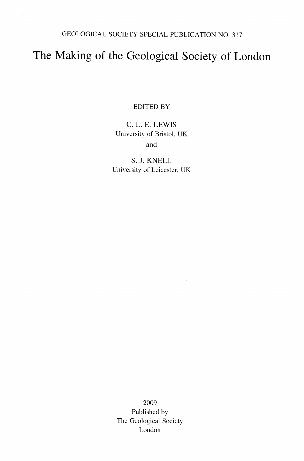GEOLOGICAL SOCIETY SPECIAL PUBLICATION NO. 317

## The Making of the Geological Society of London

EDITED BY

C. L. E. LEWIS University of Bristol, UK and

S. J. KNELL University of Leicester, UK

2009 Published by The Geological Society London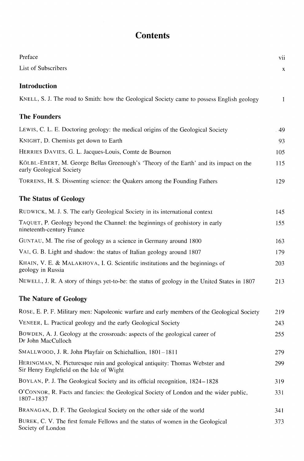## **Contents**

| Preface                                                                                                                  | vii          |
|--------------------------------------------------------------------------------------------------------------------------|--------------|
| List of Subscribers                                                                                                      | X            |
| Introduction                                                                                                             |              |
| KNELL, S. J. The road to Smith: how the Geological Society came to possess English geology                               | $\mathbf{1}$ |
| <b>The Founders</b>                                                                                                      |              |
| LEWIS, C. L. E. Doctoring geology: the medical origins of the Geological Society                                         | 49           |
| KNIGHT, D. Chemists get down to Earth                                                                                    | 93           |
| HERRIES DAVIES, G. L. Jacques-Louis, Comte de Bournon                                                                    | 105          |
| KÖLBL-EBERT, M. George Bellas Greenough's 'Theory of the Earth' and its impact on the<br>early Geological Society        | 115          |
| TORRENS, H. S. Dissenting science: the Quakers among the Founding Fathers                                                | 129          |
| <b>The Status of Geology</b>                                                                                             |              |
| RUDWICK, M. J. S. The early Geological Society in its international context                                              | 145          |
| TAQUET, P. Geology beyond the Channel: the beginnings of geohistory in early<br>nineteenth-century France                | 155          |
| GUNTAU, M. The rise of geology as a science in Germany around 1800                                                       | 163          |
| VAI, G. B. Light and shadow: the status of Italian geology around 1807                                                   | 179          |
| KHAIN, V. E. & MALAKHOVA, I. G. Scientific institutions and the beginnings of<br>geology in Russia                       | 203          |
| NEWELL, J. R. A story of things yet-to-be: the status of geology in the United States in 1807                            | 213          |
| <b>The Nature of Geology</b>                                                                                             |              |
| ROSE, E. P. F. Military men: Napoleonic warfare and early members of the Geological Society                              | 219          |
| VENEER, L. Practical geology and the early Geological Society                                                            | 243          |
| BOWDEN, A. J. Geology at the crossroads: aspects of the geological career of<br>Dr John MacCulloch                       | 255          |
| SMALLWOOD, J. R. John Playfair on Schiehallion, 1801-1811                                                                | 279          |
| HERINGMAN, N. Picturesque ruin and geological antiquity: Thomas Webster and<br>Sir Henry Englefield on the Isle of Wight | 299          |
| BOYLAN, P. J. The Geological Society and its official recognition, 1824–1828                                             | 319          |
| O'CONNOR, R. Facts and fancies: the Geological Society of London and the wider public,<br>1807–1837                      | 331          |
| BRANAGAN, D. F. The Geological Society on the other side of the world                                                    | 341          |
| BUREK, C. V. The first female Fellows and the status of women in the Geological<br>Society of London                     | 373          |